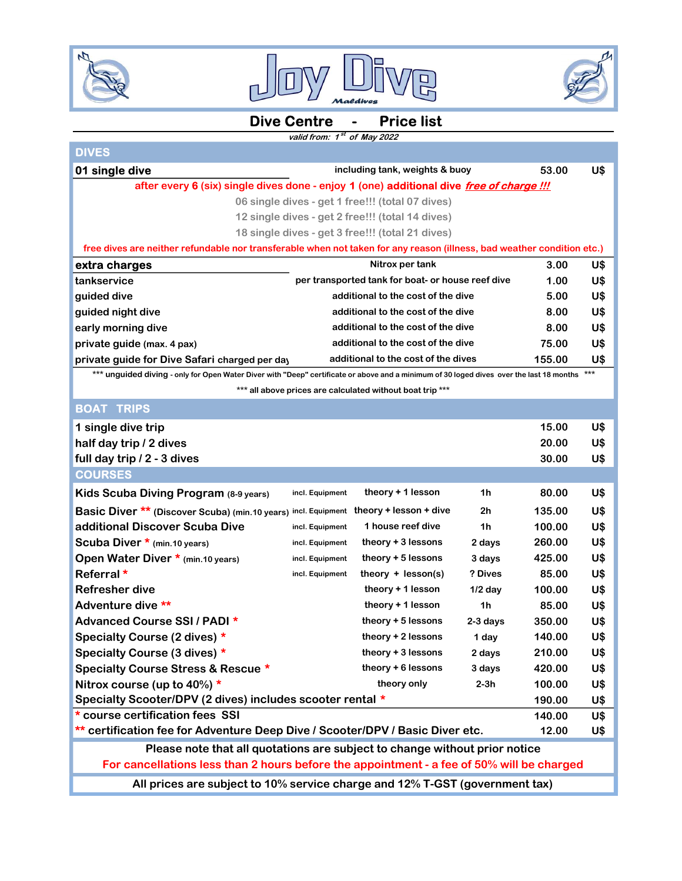





## Dive Centre - Price list

## valid from: 1<sup>st</sup> of May 2022

| <b>DIVES</b>                                                                                                                             |                                                   |                                                           |                |        |            |  |  |  |
|------------------------------------------------------------------------------------------------------------------------------------------|---------------------------------------------------|-----------------------------------------------------------|----------------|--------|------------|--|--|--|
| 01 single dive                                                                                                                           |                                                   | including tank, weights & buoy                            |                | 53.00  | U\$        |  |  |  |
| after every 6 (six) single dives done - enjoy 1 (one) additional dive free of charge !!!                                                 |                                                   |                                                           |                |        |            |  |  |  |
| 06 single dives - get 1 free!!! (total 07 dives)                                                                                         |                                                   |                                                           |                |        |            |  |  |  |
| 12 single dives - get 2 free!!! (total 14 dives)                                                                                         |                                                   |                                                           |                |        |            |  |  |  |
| 18 single dives - get 3 free!!! (total 21 dives)                                                                                         |                                                   |                                                           |                |        |            |  |  |  |
| free dives are neither refundable nor transferable when not taken for any reason (illness, bad weather condition etc.)                   |                                                   |                                                           |                |        |            |  |  |  |
| extra charges                                                                                                                            |                                                   | Nitrox per tank                                           |                | 3.00   | U\$        |  |  |  |
| tankservice                                                                                                                              | per transported tank for boat- or house reef dive |                                                           |                | 1.00   | U\$        |  |  |  |
| guided dive                                                                                                                              | additional to the cost of the dive                |                                                           |                | 5.00   | U\$        |  |  |  |
| guided night dive                                                                                                                        | additional to the cost of the dive                |                                                           |                | 8.00   | U\$        |  |  |  |
| early morning dive                                                                                                                       | additional to the cost of the dive                |                                                           |                |        | U\$        |  |  |  |
| private guide (max. 4 pax)                                                                                                               |                                                   | additional to the cost of the dive                        |                | 75.00  | U\$        |  |  |  |
| additional to the cost of the dives<br>private guide for Dive Safari charged per day                                                     |                                                   |                                                           |                | 155.00 | U\$        |  |  |  |
| *** unguided diving - only for Open Water Diver with "Deep" certificate or above and a minimum of 30 loged dives over the last 18 months |                                                   |                                                           |                |        | $***$      |  |  |  |
|                                                                                                                                          |                                                   | *** all above prices are calculated without boat trip *** |                |        |            |  |  |  |
| <b>BOAT TRIPS</b>                                                                                                                        |                                                   |                                                           |                |        |            |  |  |  |
| 1 single dive trip                                                                                                                       |                                                   |                                                           |                | 15.00  | U\$        |  |  |  |
| half day trip / 2 dives                                                                                                                  |                                                   |                                                           |                | 20.00  | U\$        |  |  |  |
| full day trip / 2 - 3 dives                                                                                                              |                                                   |                                                           |                | 30.00  | U\$        |  |  |  |
| <b>COURSES</b>                                                                                                                           |                                                   |                                                           |                |        |            |  |  |  |
| Kids Scuba Diving Program (8-9 years)                                                                                                    | incl. Equipment                                   | theory + 1 lesson                                         | 1 <sub>h</sub> | 80.00  | U\$        |  |  |  |
| Basic Diver ** (Discover Scuba) (min.10 years) incl. Equipment theory + lesson + dive                                                    |                                                   |                                                           | 2h             | 135.00 | U\$        |  |  |  |
| additional Discover Scuba Dive                                                                                                           | incl. Equipment                                   | 1 house reef dive                                         | 1h             | 100.00 | U\$        |  |  |  |
| Scuba Diver * (min.10 years)                                                                                                             | incl. Equipment                                   | theory + 3 lessons                                        | 2 days         | 260.00 | U\$        |  |  |  |
| Open Water Diver * (min. 10 years)                                                                                                       | incl. Equipment                                   | theory + 5 lessons                                        | 3 days         | 425.00 | U\$        |  |  |  |
| Referral *                                                                                                                               | incl. Equipment                                   | theory $+$ lesson(s)                                      | ? Dives        | 85.00  | U\$        |  |  |  |
| <b>Refresher dive</b>                                                                                                                    |                                                   | theory + 1 lesson                                         | $1/2$ day      | 100.00 | U\$        |  |  |  |
| Adventure dive **                                                                                                                        |                                                   | theory + 1 lesson                                         | 1 <sub>h</sub> | 85.00  | U\$        |  |  |  |
| Advanced Course SSI / PADI *                                                                                                             |                                                   | theory + 5 lessons                                        | $2-3$ days     | 350.00 | U\$        |  |  |  |
| Specialty Course (2 dives) *                                                                                                             |                                                   | theory + 2 lessons                                        | 1 day          | 140.00 | <b>U\$</b> |  |  |  |
| Specialty Course (3 dives) *                                                                                                             |                                                   | theory + 3 lessons                                        | 2 days         | 210.00 | U\$        |  |  |  |
| Specialty Course Stress & Rescue *                                                                                                       |                                                   | theory + 6 lessons                                        | 3 days         | 420.00 | U\$        |  |  |  |
| Nitrox course (up to 40%) *                                                                                                              |                                                   | theory only                                               | $2-3h$         | 100.00 | U\$        |  |  |  |
| Specialty Scooter/DPV (2 dives) includes scooter rental *                                                                                |                                                   |                                                           |                | 190.00 | U\$        |  |  |  |
| * course certification fees SSI                                                                                                          |                                                   |                                                           | 140.00         | U\$    |            |  |  |  |
| certification fee for Adventure Deep Dive / Scooter/DPV / Basic Diver etc.                                                               |                                                   |                                                           | 12.00          | U\$    |            |  |  |  |
| Please note that all quotations are subject to change without prior notice                                                               |                                                   |                                                           |                |        |            |  |  |  |
| For cancellations less than 2 hours before the appointment - a fee of 50% will be charged                                                |                                                   |                                                           |                |        |            |  |  |  |
| All prices are subject to 10% service charge and 12% T-GST (government tax)                                                              |                                                   |                                                           |                |        |            |  |  |  |